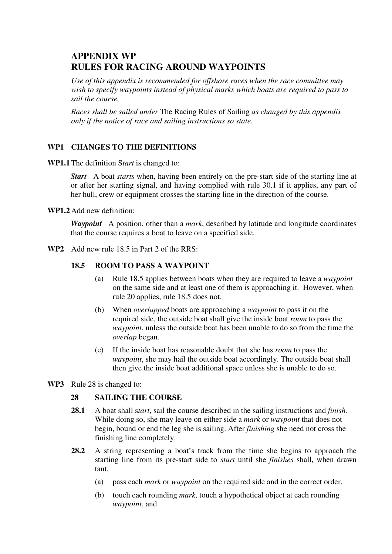# **APPENDIX WP RULES FOR RACING AROUND WAYPOINTS**

*Use of this appendix is recommended for offshore races when the race committee may wish to specify waypoints instead of physical marks which boats are required to pass to sail the course.* 

*Races shall be sailed under* The Racing Rules of Sailing *as changed by this appendix only if the notice of race and sailing instructions so state.* 

## **WP1 CHANGES TO THE DEFINITIONS**

**WP1.1** The definition S*tart* is changed to:

*Start* A boat *starts* when, having been entirely on the pre-start side of the starting line at or after her starting signal, and having complied with rule 30.1 if it applies, any part of her hull, crew or equipment crosses the starting line in the direction of the course.

**WP1.2** Add new definition:

*Waypoint* A position, other than a *mark*, described by latitude and longitude coordinates that the course requires a boat to leave on a specified side.

**WP2** Add new rule 18.5 in Part 2 of the RRS:

## **18.5 ROOM TO PASS A WAYPOINT**

- (a) Rule 18.5 applies between boats when they are required to leave a *waypoint* on the same side and at least one of them is approaching it. However, when rule 20 applies, rule 18.5 does not.
- (b) When *overlapped* boats are approaching a *waypoint* to pass it on the required side, the outside boat shall give the inside boat *room* to pass the *waypoint*, unless the outside boat has been unable to do so from the time the *overlap* began.
- (c) If the inside boat has reasonable doubt that she has *room* to pass the *waypoint*, she may hail the outside boat accordingly. The outside boat shall then give the inside boat additional space unless she is unable to do so.
- **WP3** Rule 28 is changed to:

## **28 SAILING THE COURSE**

- **28.1** A boat shall s*tart*, sail the course described in the sailing instructions and *finish.*  While doing so, she may leave on either side a *mark* or *waypoint* that does not begin, bound or end the leg she is sailing. After *finishing* she need not cross the finishing line completely.
- **28.2** A string representing a boat's track from the time she begins to approach the starting line from its pre-start side to *start* until she *finishes* shall, when drawn taut,
	- (a) pass each *mark* or *waypoint* on the required side and in the correct order,
	- (b) touch each rounding *mark*, touch a hypothetical object at each rounding *waypoint*, and